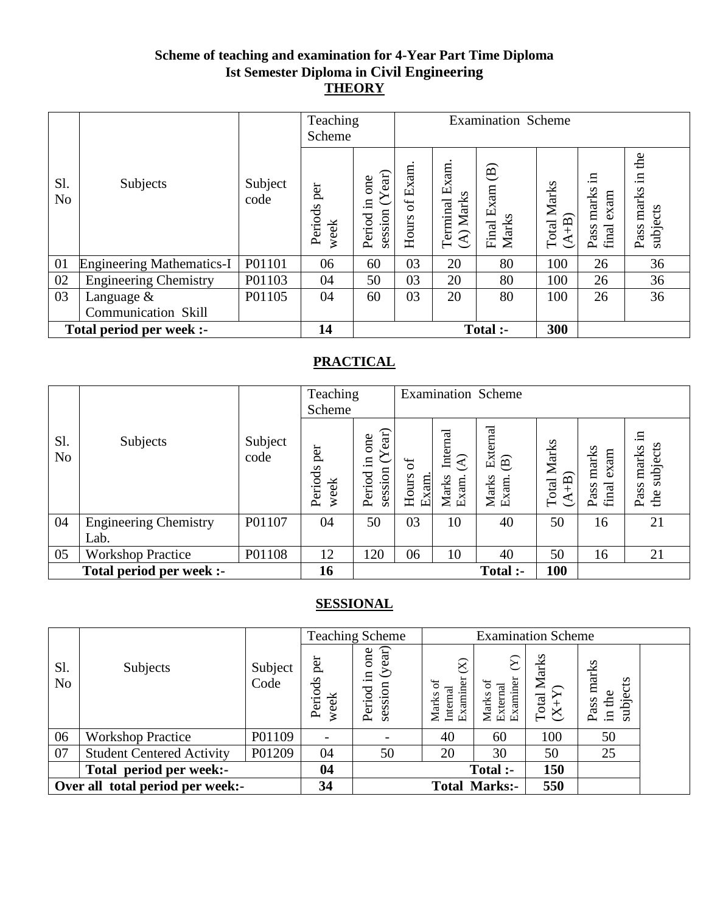### **Scheme of teaching and examination for 4-Year Part Time Diploma Ist Semester Diploma in Civil Engineering THEORY**

|                       |                                  |                 | Teaching<br>Scheme     |                                              |               |                                | <b>Examination Scheme</b>                     |                               |                                      |                                        |
|-----------------------|----------------------------------|-----------------|------------------------|----------------------------------------------|---------------|--------------------------------|-----------------------------------------------|-------------------------------|--------------------------------------|----------------------------------------|
| S1.<br>N <sub>o</sub> | Subjects                         | Subject<br>code | per<br>Periods<br>week | ear)<br>one<br>session (Y<br>$\Xi$<br>Period | Hours of Exam | Exam.<br>(A) Marks<br>Terminal | $\widehat{\mathbf{B}}$<br>Final Exam<br>Marks | <b>Total Marks</b><br>$(A+B)$ | .日<br>marks<br>exam<br>final<br>Pass | the<br>묘.<br>marks<br>subjects<br>Pass |
| 01                    | <b>Engineering Mathematics-I</b> | P01101          | 06                     | 60                                           | 03            | 20                             | 80                                            | 100                           | 26                                   | 36                                     |
| 02                    | <b>Engineering Chemistry</b>     | P01103          | 04                     | 50                                           | 03            | 20                             | 80                                            | 100                           | 26                                   | 36                                     |
| 03                    | Language $\&$                    | P01105          | 04                     | 60                                           | 03            | 20                             | 80                                            | 100                           | 26                                   | 36                                     |
|                       | <b>Communication Skill</b>       |                 |                        |                                              |               |                                |                                               |                               |                                      |                                        |
|                       | Total period per week :-         |                 | 14                     |                                              |               |                                | Total :-                                      | 300                           |                                      |                                        |

### **PRACTICAL**

|                       |                                      |                 | Teaching<br>Scheme     |                                              | <b>Examination Scheme</b>  |                                                       |                                                      |                                 |                                |                                        |
|-----------------------|--------------------------------------|-----------------|------------------------|----------------------------------------------|----------------------------|-------------------------------------------------------|------------------------------------------------------|---------------------------------|--------------------------------|----------------------------------------|
| S1.<br>N <sub>o</sub> | Subjects                             | Subject<br>code | per<br>Periods<br>week | Year)<br>one<br>$\Xi$ .<br>session<br>Period | $\sigma$<br>Hours<br>Exam. | Internal<br>$\widehat{\mathcal{E}}$<br>Marks<br>Exam. | External<br>$\widehat{\mathbf{B}}$<br>Marks<br>Exam. | <b>Total Marks</b><br>$+B$<br>⋖ | marks<br>exam<br>final<br>Pass | .日<br>subjects<br>marks<br>Pass<br>the |
| 04                    | <b>Engineering Chemistry</b><br>Lab. | P01107          | 04                     | 50                                           | 03                         | 10                                                    | 40                                                   | 50                              | 16                             | 21                                     |
| 05                    | <b>Workshop Practice</b>             | P01108          | 12                     | 120                                          | 06                         | 10                                                    | 40                                                   | 50                              | 16                             | 21                                     |
|                       | Total period per week :-             |                 | 16                     |                                              |                            |                                                       | Total :-                                             | 100                             |                                |                                        |

|                       |                                   |                 |                          | <b>Teaching Scheme</b>                      |                                                      | <b>Examination Scheme</b>     |                        |                                     |  |
|-----------------------|-----------------------------------|-----------------|--------------------------|---------------------------------------------|------------------------------------------------------|-------------------------------|------------------------|-------------------------------------|--|
| Sl.<br>N <sub>o</sub> | Subjects                          | Subject<br>Code | per<br>Periods<br>week   | (year)<br>one<br>$\Xi$<br>session<br>Period | $\widehat{\bowtie}$<br>Examiner<br>Internal<br>Marks | Examiner<br>External<br>Marks | Total Marks<br>$(X+Y)$ | marks<br>subjects<br>in the<br>Pass |  |
| 06                    | <b>Workshop Practice</b>          | P01109          | $\overline{\phantom{a}}$ |                                             | 40                                                   | 60                            | 100                    | 50                                  |  |
| 07                    | <b>Student Centered Activity</b>  | P01209          | 04                       | 50                                          | 20                                                   | 30                            | 50                     | 25                                  |  |
|                       | period per week:-<br><b>Total</b> |                 | 04                       |                                             |                                                      | Total :-                      | 150                    |                                     |  |
|                       | Over all total period per week:-  |                 | 34                       |                                             |                                                      | <b>Total Marks:-</b>          | 550                    |                                     |  |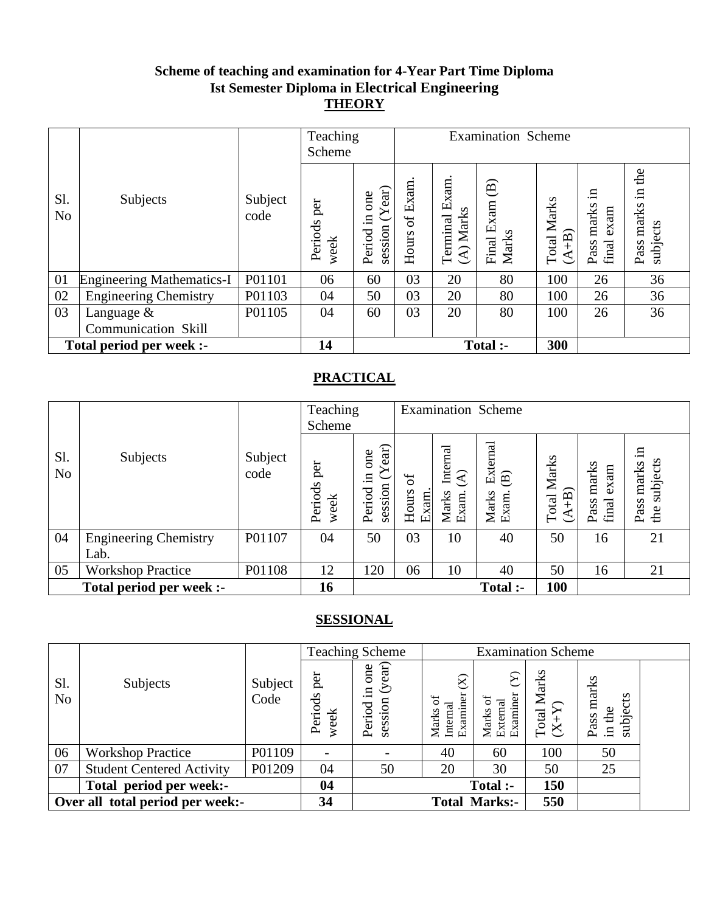### **Scheme of teaching and examination for 4-Year Part Time Diploma Ist Semester Diploma in Electrical Engineering THEORY**

|                       |                                  |                 | Teaching<br>Scheme     |                                                  | <b>Examination Scheme</b> |                            |                                        |                           |                                      |                                           |
|-----------------------|----------------------------------|-----------------|------------------------|--------------------------------------------------|---------------------------|----------------------------|----------------------------------------|---------------------------|--------------------------------------|-------------------------------------------|
| S1.<br>N <sub>o</sub> | Subjects                         | Subject<br>code | per<br>Periods<br>week | $({\rm Year})$<br>one<br>Ξ.<br>session<br>Period | of Exam<br>Hours          | Terminal Exam<br>(A) Marks | $\widehat{\Xi}$<br>Final Exam<br>Marks | Marks<br>$(A+B)$<br>Total | .⊟<br>marks<br>exam<br>final<br>Pass | the<br>$\Xi$<br>marks<br>subjects<br>Pass |
| 01                    | <b>Engineering Mathematics-I</b> | P01101          | 06                     | 60                                               | 03                        | 20                         | 80                                     | 100                       | 26                                   | 36                                        |
| 02                    | <b>Engineering Chemistry</b>     | P01103          | 04                     | 50                                               | 03                        | 20                         | 80                                     | 100                       | 26                                   | 36                                        |
| 03                    | Language $\&$                    | P01105          | 04                     | 60                                               | 03                        | 20                         | 80                                     | 100                       | 26                                   | 36                                        |
|                       | Communication Skill              |                 |                        |                                                  |                           |                            |                                        |                           |                                      |                                           |
|                       | Total period per week :-         |                 | 14                     |                                                  |                           |                            | Total :-                               | 300                       |                                      |                                           |

### **PRACTICAL**

|                       |                                      |                 | Teaching<br>Scheme     |                                                |                            |                                                       | <b>Examination Scheme</b>                            |                                   |                                |                                        |
|-----------------------|--------------------------------------|-----------------|------------------------|------------------------------------------------|----------------------------|-------------------------------------------------------|------------------------------------------------------|-----------------------------------|--------------------------------|----------------------------------------|
| Sl.<br>N <sub>o</sub> | Subjects                             | Subject<br>code | per<br>Periods<br>week | ear)<br>one<br>≻<br>$\Xi$<br>session<br>Period | $\sigma$<br>Hours<br>Exam. | Internal<br>$\widehat{\mathcal{L}}$<br>Marks<br>Exam. | External<br>$\widehat{\mathbf{B}}$<br>Marks<br>Exam. | Marks<br>$\widehat{+}$ B<br>Total | marks<br>exam<br>Pass<br>final | .日<br>subjects<br>marks<br>Pass<br>the |
| 04                    | <b>Engineering Chemistry</b><br>Lab. | P01107          | 04                     | 50                                             | 03                         | 10                                                    | 40                                                   | 50                                | 16                             | 21                                     |
| 05                    | <b>Workshop Practice</b>             | P01108          | 12                     | 120                                            | 06                         | 10                                                    | 40                                                   | 50                                | 16                             | 21                                     |
|                       | Total period per week :-             |                 | 16                     |                                                |                            |                                                       | Total :-                                             | <b>100</b>                        |                                |                                        |

|                                  |                                  |                 |                        | <b>Teaching Scheme</b>                        |                                                             | <b>Examination Scheme</b>        |                                         |                                     |  |
|----------------------------------|----------------------------------|-----------------|------------------------|-----------------------------------------------|-------------------------------------------------------------|----------------------------------|-----------------------------------------|-------------------------------------|--|
| S1.<br>N <sub>o</sub>            | Subjects                         | Subject<br>Code | per<br>Periods<br>week | (year)<br>one<br>$\Xi$ .<br>session<br>Period | $\widehat{\otimes}$<br>Examiner<br>đ<br>Marks o<br>Internal | Marks of<br>External<br>Examiner | Marks<br>$\frac{\text{Total N}}{(X+Y)}$ | marks<br>subjects<br>in the<br>Pass |  |
| 06                               | <b>Workshop Practice</b>         | P01109          |                        |                                               | 40                                                          | 60                               | 100                                     | 50                                  |  |
| 07                               | <b>Student Centered Activity</b> | P01209          | 04                     | 50                                            | 20                                                          | 30                               | 50                                      | 25                                  |  |
|                                  | Total period per week:-          |                 | 04                     |                                               |                                                             | Total :-                         | 150                                     |                                     |  |
| Over all total period per week:- |                                  | 34              |                        |                                               | <b>Total Marks:-</b>                                        | 550                              |                                         |                                     |  |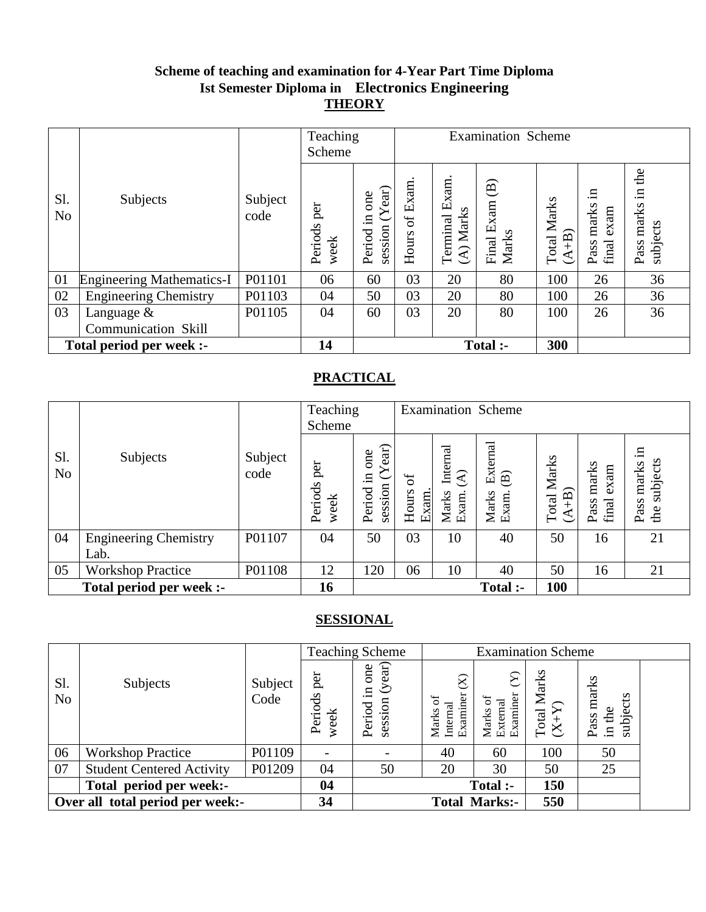### **Scheme of teaching and examination for 4-Year Part Time Diploma Ist Semester Diploma in Electronics Engineering THEORY**

|                       |                                  |                 | Teaching<br>Scheme     |                                             | <b>Examination Scheme</b> |                            |                                               |                                 |                                      |                                        |
|-----------------------|----------------------------------|-----------------|------------------------|---------------------------------------------|---------------------------|----------------------------|-----------------------------------------------|---------------------------------|--------------------------------------|----------------------------------------|
| Sl.<br>N <sub>o</sub> | Subjects                         | Subject<br>code | per<br>Periods<br>week | (Year)<br>one<br>$\Xi$<br>session<br>Period | of Exam<br>Hours          | Terminal Exam<br>(A) Marks | $\widehat{\mathbf{B}}$<br>Final Exam<br>Marks | Marks<br>$\widehat{+}$<br>Total | .日<br>marks<br>exam<br>final<br>Pass | the<br>묘.<br>marks<br>subjects<br>Pass |
| 01                    | <b>Engineering Mathematics-I</b> | P01101          | 06                     | 60                                          | 03                        | 20                         | 80                                            | 100                             | 26                                   | 36                                     |
| 02                    | <b>Engineering Chemistry</b>     | P01103          | 04                     | 50                                          | 03                        | 20                         | 80                                            | 100                             | 26                                   | 36                                     |
| 03                    | Language $\&$                    | P01105          | 04                     | 60                                          | 03                        | 20                         | 80                                            | 100                             | 26                                   | 36                                     |
|                       | <b>Communication Skill</b>       |                 |                        |                                             |                           |                            |                                               |                                 |                                      |                                        |
|                       | Total period per week :-         |                 | 14                     |                                             |                           |                            | Total :-                                      | 300                             |                                      |                                        |

### **PRACTICAL**

|                       |                                      |                 | Teaching<br>Scheme     |                                                |                          |                                                       | <b>Examination Scheme</b>                            |                                 |                                |                                        |
|-----------------------|--------------------------------------|-----------------|------------------------|------------------------------------------------|--------------------------|-------------------------------------------------------|------------------------------------------------------|---------------------------------|--------------------------------|----------------------------------------|
| S1.<br>N <sub>o</sub> | Subjects                             | Subject<br>code | per<br>Periods<br>week | ear)<br>one<br>≻<br>$\Xi$<br>session<br>Period | ზ<br>შ<br>Hours<br>Exam. | Internal<br>$\widehat{\mathcal{L}}$<br>Marks<br>Exam. | External<br>$\widehat{\mathbf{B}}$<br>Marks<br>Exam. | Marks<br>$\widehat{+}$<br>Total | marks<br>exam<br>final<br>Pass | .日<br>subjects<br>marks<br>Pass<br>the |
| 04                    | <b>Engineering Chemistry</b><br>Lab. | P01107          | 04                     | 50                                             | 03                       | 10                                                    | 40                                                   | 50                              | 16                             | 21                                     |
| 05                    | <b>Workshop Practice</b>             | P01108          | 12                     | 120                                            | 06                       | 10                                                    | 40                                                   | 50                              | 16                             | 21                                     |
|                       | Total period per week :-             |                 | 16                     |                                                |                          |                                                       | <b>Total :-</b>                                      | <b>100</b>                      |                                |                                        |

|                                  |                                  |                 |                        | <b>Teaching Scheme</b>                        |                                                             | <b>Examination Scheme</b>        |                                         |                                     |  |
|----------------------------------|----------------------------------|-----------------|------------------------|-----------------------------------------------|-------------------------------------------------------------|----------------------------------|-----------------------------------------|-------------------------------------|--|
| S1.<br>N <sub>o</sub>            | Subjects                         | Subject<br>Code | per<br>Periods<br>week | (year)<br>one<br>$\Xi$ .<br>session<br>Period | $\widehat{\otimes}$<br>Examiner<br>đ<br>Marks o<br>Internal | Marks of<br>External<br>Examiner | Marks<br>$\frac{\text{Total N}}{(X+Y)}$ | marks<br>subjects<br>in the<br>Pass |  |
| 06                               | <b>Workshop Practice</b>         | P01109          |                        |                                               | 40                                                          | 60                               | 100                                     | 50                                  |  |
| 07                               | <b>Student Centered Activity</b> | P01209          | 04                     | 50                                            | 20                                                          | 30                               | 50                                      | 25                                  |  |
|                                  | Total period per week:-          |                 | 04                     |                                               |                                                             | Total :-                         | 150                                     |                                     |  |
| Over all total period per week:- |                                  | 34              |                        |                                               | <b>Total Marks:-</b>                                        | 550                              |                                         |                                     |  |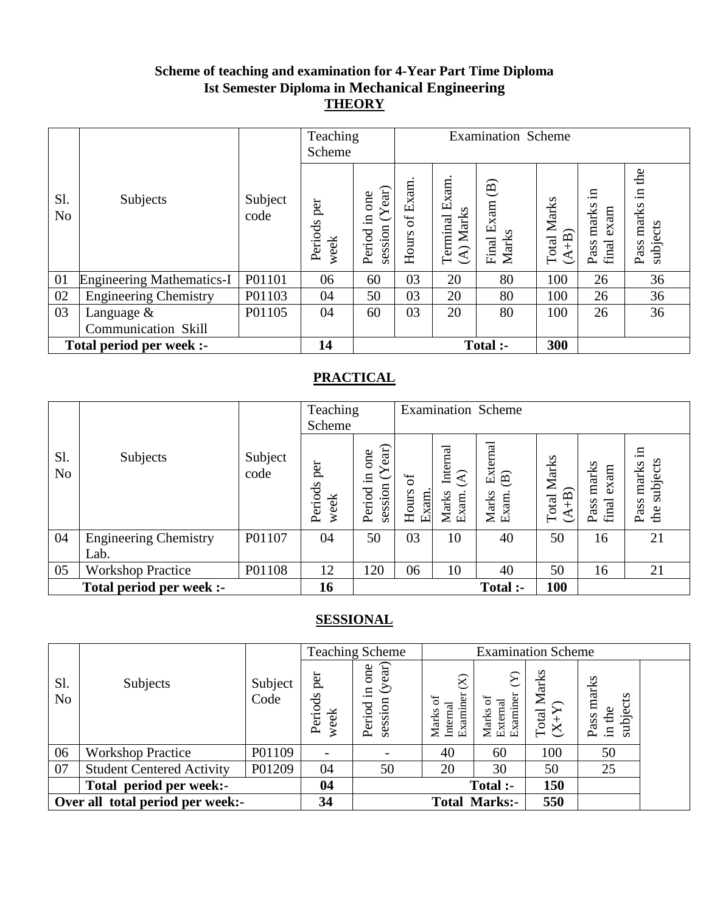### **Scheme of teaching and examination for 4-Year Part Time Diploma Ist Semester Diploma in Mechanical Engineering THEORY**

|                       |                                  |                 | Teaching<br>Scheme     |                                      | <b>Examination Scheme</b> |                            |                                                    |                                  |                                      |                                        |
|-----------------------|----------------------------------|-----------------|------------------------|--------------------------------------|---------------------------|----------------------------|----------------------------------------------------|----------------------------------|--------------------------------------|----------------------------------------|
| Sl.<br>N <sub>o</sub> | Subjects                         | Subject<br>code | per<br>Periods<br>week | session $(Year)$<br>one<br>Period in | of Exam<br>Hours          | Terminal Exam<br>(A) Marks | $\widehat{\mathfrak{B}}$<br>Exam<br>Marks<br>Final | Marks<br>$\widehat{+}B$<br>Total | .日<br>marks<br>exam<br>final<br>Pass | the<br>묘.<br>marks<br>subjects<br>Pass |
| 01                    | <b>Engineering Mathematics-I</b> | P01101          | 06                     | 60                                   | 03                        | 20                         | 80                                                 | 100                              | 26                                   | 36                                     |
| 02                    | <b>Engineering Chemistry</b>     | P01103          | 04                     | 50                                   | 03                        | 20                         | 80                                                 | 100                              | 26                                   | 36                                     |
| 03                    | Language &                       | P01105          | 04                     | 60                                   | 03                        | 20                         | 80                                                 | 100                              | 26                                   | 36                                     |
|                       | <b>Communication Skill</b>       |                 |                        |                                      |                           |                            |                                                    |                                  |                                      |                                        |
|                       | Total period per week :-         |                 | 14                     |                                      |                           |                            | Total :-                                           | 300                              |                                      |                                        |

### **PRACTICAL**

|                       |                                      |                 | Teaching<br>Scheme     |                                                |                          |                                                       | <b>Examination Scheme</b>                            |                                 |                                |                                        |
|-----------------------|--------------------------------------|-----------------|------------------------|------------------------------------------------|--------------------------|-------------------------------------------------------|------------------------------------------------------|---------------------------------|--------------------------------|----------------------------------------|
| S1.<br>N <sub>o</sub> | Subjects                             | Subject<br>code | per<br>Periods<br>week | ear)<br>one<br>≻<br>$\Xi$<br>session<br>Period | ზ<br>შ<br>Hours<br>Exam. | Internal<br>$\widehat{\mathcal{L}}$<br>Marks<br>Exam. | External<br>$\widehat{\mathbf{B}}$<br>Marks<br>Exam. | Marks<br>$\widehat{+}$<br>Total | marks<br>exam<br>final<br>Pass | .日<br>subjects<br>marks<br>Pass<br>the |
| 04                    | <b>Engineering Chemistry</b><br>Lab. | P01107          | 04                     | 50                                             | 03                       | 10                                                    | 40                                                   | 50                              | 16                             | 21                                     |
| 05                    | <b>Workshop Practice</b>             | P01108          | 12                     | 120                                            | 06                       | 10                                                    | 40                                                   | 50                              | 16                             | 21                                     |
|                       | Total period per week :-             |                 | 16                     |                                                |                          |                                                       | <b>Total :-</b>                                      | <b>100</b>                      |                                |                                        |

|                                  |                                  |                 |                        | <b>Teaching Scheme</b>                        |                                                   | <b>Examination Scheme</b>        |                                         |                                     |  |
|----------------------------------|----------------------------------|-----------------|------------------------|-----------------------------------------------|---------------------------------------------------|----------------------------------|-----------------------------------------|-------------------------------------|--|
| S1.<br>N <sub>o</sub>            | Subjects                         | Subject<br>Code | per<br>Periods<br>week | (year)<br>one<br>$\Xi$ .<br>session<br>Period | $\otimes$<br>Examiner<br>ď<br>Marks o<br>Internal | Marks of<br>External<br>Examiner | Marks<br>$\frac{\text{Total N}}{(X+Y)}$ | marks<br>subjects<br>in the<br>Pass |  |
| 06                               | <b>Workshop Practice</b>         | P01109          |                        |                                               | 40                                                | 60                               | 100                                     | 50                                  |  |
| 07                               | <b>Student Centered Activity</b> | P01209          | 04                     | 50                                            | 20                                                | 30                               | 50                                      | 25                                  |  |
|                                  | Total period per week:-          |                 | 04                     |                                               |                                                   | Total :-                         | 150                                     |                                     |  |
| Over all total period per week:- |                                  | 34              |                        |                                               | <b>Total Marks:-</b>                              | 550                              |                                         |                                     |  |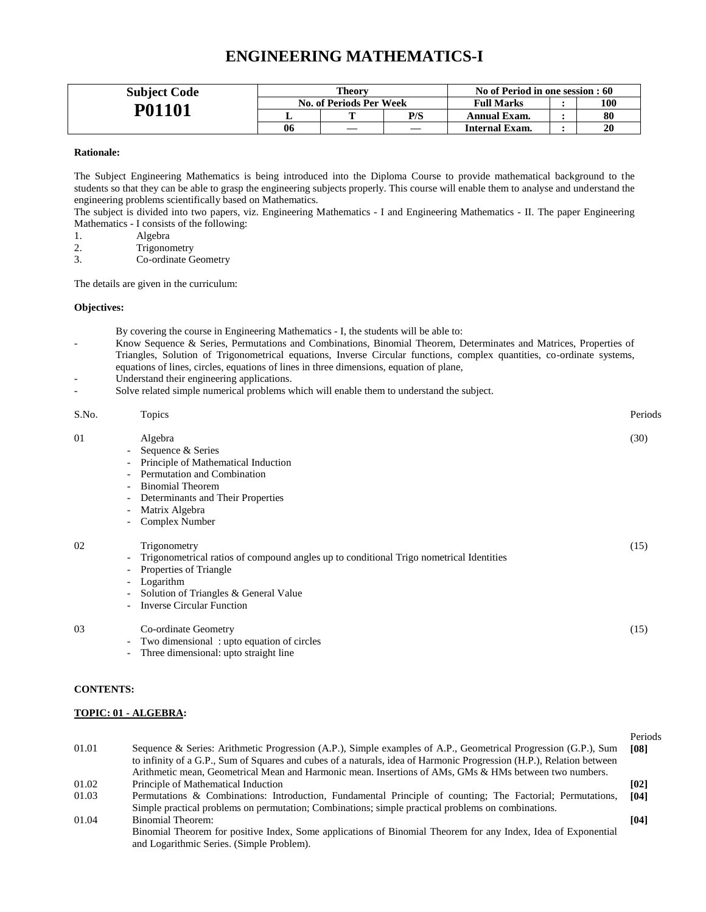### **ENGINEERING MATHEMATICS-I**

| <b>Subject Code</b> | Theory |                         | No of Period in one session : 60 |                       |  |     |
|---------------------|--------|-------------------------|----------------------------------|-----------------------|--|-----|
| P01101              |        | No. of Periods Per Week |                                  | <b>Full Marks</b>     |  | 100 |
|                     |        |                         | P/S                              | Annual Exam.          |  | 80  |
|                     | 06     |                         |                                  | <b>Internal Exam.</b> |  | 20  |

### **Rationale:**

The Subject Engineering Mathematics is being introduced into the Diploma Course to provide mathematical background to the students so that they can be able to grasp the engineering subjects properly. This course will enable them to analyse and understand the engineering problems scientifically based on Mathematics.

The subject is divided into two papers, viz. Engineering Mathematics - I and Engineering Mathematics - II. The paper Engineering Mathematics - I consists of the following:

- 1. Algebra
- 
- 2. Trigonometry<br>3. Co-ordinate G Co-ordinate Geometry

The details are given in the curriculum:

#### **Objectives:**

By covering the course in Engineering Mathematics - I, the students will be able to:

- Know Sequence & Series, Permutations and Combinations, Binomial Theorem, Determinates and Matrices, Properties of Triangles, Solution of Trigonometrical equations, Inverse Circular functions, complex quantities, co-ordinate systems, equations of lines, circles, equations of lines in three dimensions, equation of plane,
- Understand their engineering applications.
- Solve related simple numerical problems which will enable them to understand the subject.

| S.No. | Topics                                                                                         | Periods |
|-------|------------------------------------------------------------------------------------------------|---------|
| 01    | Algebra                                                                                        | (30)    |
|       | Sequence & Series<br>$\sim$                                                                    |         |
|       | Principle of Mathematical Induction                                                            |         |
|       | Permutation and Combination                                                                    |         |
|       | <b>Binomial Theorem</b>                                                                        |         |
|       | Determinants and Their Properties                                                              |         |
|       | Matrix Algebra<br>$\overline{\phantom{0}}$                                                     |         |
|       | Complex Number<br>$\overline{\phantom{0}}$                                                     |         |
| 02    | Trigonometry                                                                                   | (15)    |
|       | Trigonometrical ratios of compound angles up to conditional Trigo nometrical Identities<br>$-$ |         |
|       | Properties of Triangle                                                                         |         |
|       | Logarithm<br>$\sim$                                                                            |         |
|       | Solution of Triangles & General Value                                                          |         |
|       | <b>Inverse Circular Function</b>                                                               |         |
| 03    | Co-ordinate Geometry                                                                           | (15)    |
|       | Two dimensional: upto equation of circles<br>$-$                                               |         |
|       |                                                                                                |         |

Three dimensional: upto straight line

#### **CONTENTS:**

#### **TOPIC: 01 - ALGEBRA:**

| 01.01 | Sequence & Series: Arithmetic Progression (A.P.), Simple examples of A.P., Geometrical Progression (G.P.), Sum       | Periods<br><b>[08]</b> |
|-------|----------------------------------------------------------------------------------------------------------------------|------------------------|
|       | to infinity of a G.P., Sum of Squares and cubes of a naturals, idea of Harmonic Progression (H.P.), Relation between |                        |
|       | Arithmetic mean, Geometrical Mean and Harmonic mean. Insertions of AMs, GMs & HMs between two numbers.               |                        |
| 01.02 | Principle of Mathematical Induction                                                                                  | [02]                   |
| 01.03 | Permutations & Combinations: Introduction, Fundamental Principle of counting; The Factorial; Permutations,           | [04]                   |
|       | Simple practical problems on permutation; Combinations; simple practical problems on combinations.                   |                        |
| 01.04 | Binomial Theorem:                                                                                                    | [04]                   |
|       | Binomial Theorem for positive Index, Some applications of Binomial Theorem for any Index, Idea of Exponential        |                        |
|       | and Logarithmic Series. (Simple Problem).                                                                            |                        |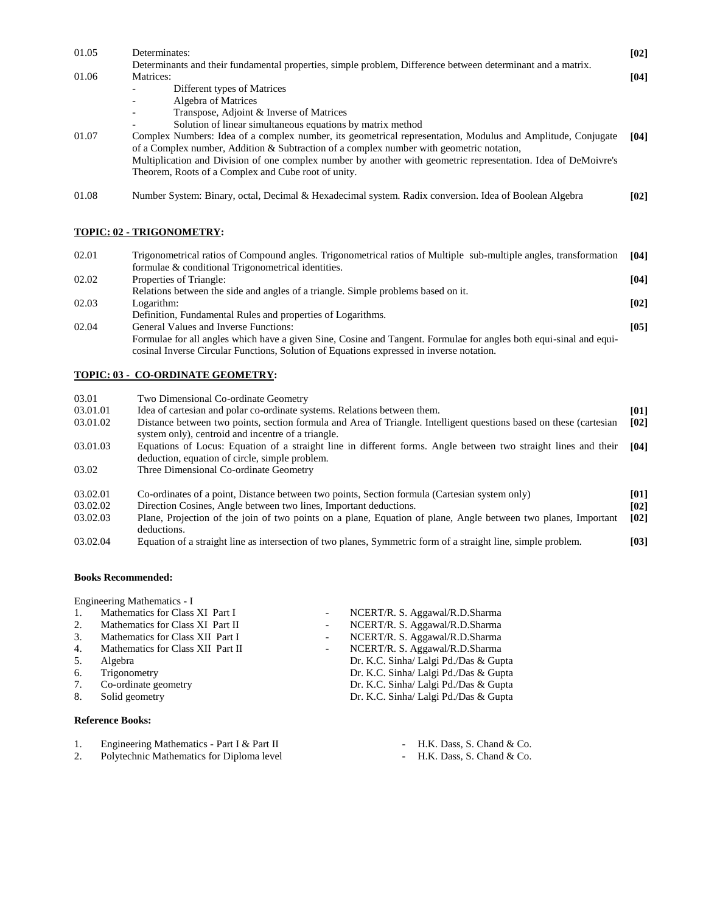| 01.05    | Determinates:                                                                                                                                                                                                  | [02]        |
|----------|----------------------------------------------------------------------------------------------------------------------------------------------------------------------------------------------------------------|-------------|
| 01.06    | Determinants and their fundamental properties, simple problem, Difference between determinant and a matrix.<br>Matrices:<br>Different types of Matrices                                                        | [04]        |
|          | Algebra of Matrices                                                                                                                                                                                            |             |
|          | Transpose, Adjoint & Inverse of Matrices<br>Solution of linear simultaneous equations by matrix method                                                                                                         |             |
| 01.07    | Complex Numbers: Idea of a complex number, its geometrical representation, Modulus and Amplitude, Conjugate                                                                                                    | [04]        |
|          | of a Complex number, Addition & Subtraction of a complex number with geometric notation,                                                                                                                       |             |
|          | Multiplication and Division of one complex number by another with geometric representation. Idea of DeMoivre's<br>Theorem, Roots of a Complex and Cube root of unity.                                          |             |
| 01.08    | Number System: Binary, octal, Decimal & Hexadecimal system. Radix conversion. Idea of Boolean Algebra                                                                                                          | [02]        |
|          | <b>TOPIC: 02 - TRIGONOMETRY:</b>                                                                                                                                                                               |             |
|          |                                                                                                                                                                                                                |             |
| 02.01    | Trigonometrical ratios of Compound angles. Trigonometrical ratios of Multiple sub-multiple angles, transformation<br>formulae & conditional Trigonometrical identities.                                        | [04]        |
| 02.02    | Properties of Triangle:                                                                                                                                                                                        | [04]        |
|          | Relations between the side and angles of a triangle. Simple problems based on it.                                                                                                                              |             |
| 02.03    | Logarithm:<br>Definition, Fundamental Rules and properties of Logarithms.                                                                                                                                      | [02]        |
| 02.04    | General Values and Inverse Functions:                                                                                                                                                                          | $[05]$      |
|          | Formulae for all angles which have a given Sine, Cosine and Tangent. Formulae for angles both equi-sinal and equi-<br>cosinal Inverse Circular Functions, Solution of Equations expressed in inverse notation. |             |
|          | <b>TOPIC: 03 - CO-ORDINATE GEOMETRY:</b>                                                                                                                                                                       |             |
| 03.01    | Two Dimensional Co-ordinate Geometry                                                                                                                                                                           |             |
| 03.01.01 | Idea of cartesian and polar co-ordinate systems. Relations between them.                                                                                                                                       | [01]        |
| 03.01.02 | Distance between two points, section formula and Area of Triangle. Intelligent questions based on these (cartesian<br>system only), centroid and incentre of a triangle.                                       | [02]        |
| 03.01.03 | Equations of Locus: Equation of a straight line in different forms. Angle between two straight lines and their<br>deduction, equation of circle, simple problem.                                               | [04]        |
| 03.02    | Three Dimensional Co-ordinate Geometry                                                                                                                                                                         |             |
| 03.02.01 | Co ordinates of a point Distance between two points Section formula (Cartesian system only)                                                                                                                    | <b>6011</b> |

- 03.02.01 Co-ordinates of a point, Distance between two points, Section formula (Cartesian system only) [01]<br>03.02.02 Direction Cosines, Angle between two lines, Important deductions. [02] 03.02.02 Direction Cosines, Angle between two lines, Important deductions.<br> **102.03** Plane, Projection of the join of two points on a plane, Equation of Plane, Projection of the join of two points on a plane, Equation of plane, Angle between two planes, Important deductions. **[02]**
- 03.02.04 Equation of a straight line as intersection of two planes, Symmetric form of a straight line, simple problem. **[03]**

### **Books Recommended:**

Engineering Mathematics - I

| 1. | Mathematics for Class XI Part I   |                          | NCERT/R. S. Aggawal/R.D.Sharma        |
|----|-----------------------------------|--------------------------|---------------------------------------|
| 2. | Mathematics for Class XI Part II  | $\overline{\phantom{0}}$ | NCERT/R. S. Aggawal/R.D.Sharma        |
| 3. | Mathematics for Class XII Part I  | $\overline{\phantom{a}}$ | NCERT/R. S. Aggawal/R.D.Sharma        |
| 4. | Mathematics for Class XII Part II | $\sim$                   | NCERT/R. S. Aggawal/R.D.Sharma        |
| 5. | Algebra                           |                          | Dr. K.C. Sinha/ Lalgi Pd./Das & Gupta |
| 6. | Trigonometry                      |                          | Dr. K.C. Sinha/ Lalgi Pd./Das & Gupta |
| 7. | Co-ordinate geometry              |                          | Dr. K.C. Sinha/ Lalgi Pd./Das & Gupta |
| 8. | Solid geometry                    |                          | Dr. K.C. Sinha/ Lalgi Pd./Das & Gupta |
|    |                                   |                          |                                       |

### **Reference Books:**

- 1. Engineering Mathematics Part I & Part II H.K. Dass, S. Chand & Co.<br>2. Polytechnic Mathematics for Diploma level H.K. Dass, S. Chand & Co.
- Polytechnic Mathematics for Diploma level
- -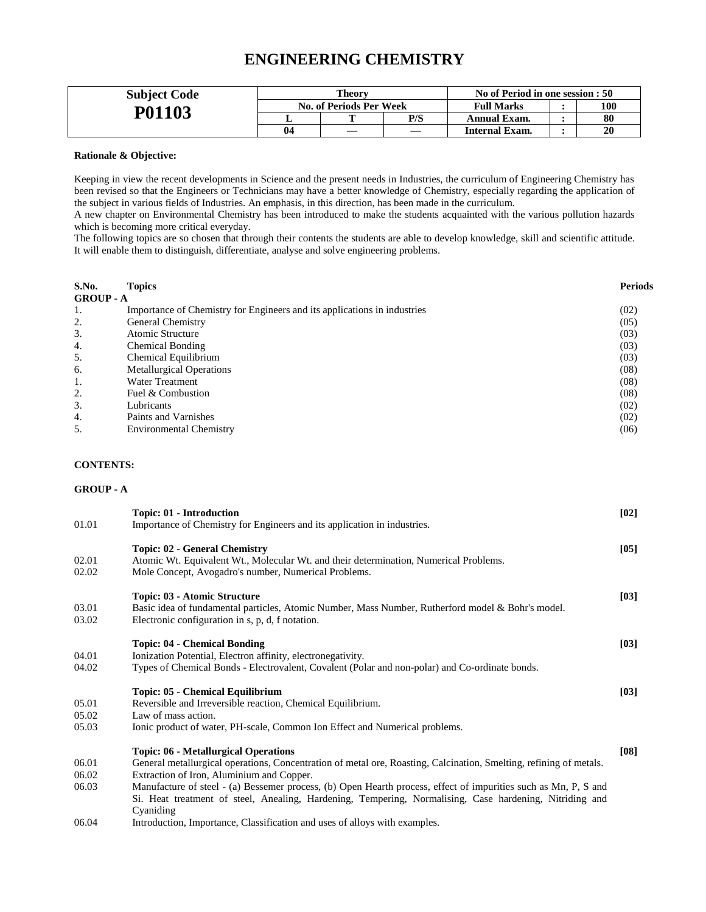### **ENGINEERING CHEMISTRY**

| <b>Subject Code</b> | Theory                         |  |                   | No of Period in one session : 50 |     |    |
|---------------------|--------------------------------|--|-------------------|----------------------------------|-----|----|
|                     | <b>No. of Periods Per Week</b> |  | <b>Full Marks</b> |                                  | 100 |    |
| P01103              |                                |  | P/S               | Annual Exam.                     |     | 80 |
|                     | 04                             |  |                   | <b>Internal Exam.</b>            |     | 20 |

#### **Rationale & Objective:**

Keeping in view the recent developments in Science and the present needs in Industries, the curriculum of Engineering Chemistry has been revised so that the Engineers or Technicians may have a better knowledge of Chemistry, especially regarding the application of the subject in various fields of Industries. An emphasis, in this direction, has been made in the curriculum.

A new chapter on Environmental Chemistry has been introduced to make the students acquainted with the various pollution hazards which is becoming more critical everyday.

The following topics are so chosen that through their contents the students are able to develop knowledge, skill and scientific attitude. It will enable them to distinguish, differentiate, analyse and solve engineering problems.

| S.No.            | <b>Topics</b>                                                            | <b>Periods</b> |
|------------------|--------------------------------------------------------------------------|----------------|
| <b>GROUP</b> - A |                                                                          |                |
| 1.               | Importance of Chemistry for Engineers and its applications in industries | (02)           |
| 2.               | General Chemistry                                                        | (05)           |
| 3.               | Atomic Structure                                                         | (03)           |
| 4.               | <b>Chemical Bonding</b>                                                  | (03)           |
| 5.               | Chemical Equilibrium                                                     | (03)           |
| 6.               | <b>Metallurgical Operations</b>                                          | (08)           |
| 1.               | <b>Water Treatment</b>                                                   | (08)           |
| 2.               | Fuel & Combustion                                                        | (08)           |
| 3.               | Lubricants                                                               | (02)           |
| 4.               | Paints and Varnishes                                                     | (02)           |
| 5.               | <b>Environmental Chemistry</b>                                           | (06)           |

### **CONTENTS:**

#### **GROUP - A**

| 01.01 | <b>Topic: 01 - Introduction</b><br>Importance of Chemistry for Engineers and its application in industries.        | $[02]$ |
|-------|--------------------------------------------------------------------------------------------------------------------|--------|
|       |                                                                                                                    |        |
|       | <b>Topic: 02 - General Chemistry</b>                                                                               | [05]   |
| 02.01 | Atomic Wt. Equivalent Wt., Molecular Wt. and their determination, Numerical Problems.                              |        |
| 02.02 | Mole Concept, Avogadro's number, Numerical Problems.                                                               |        |
|       | Topic: 03 - Atomic Structure                                                                                       | [03]   |
| 03.01 | Basic idea of fundamental particles, Atomic Number, Mass Number, Rutherford model & Bohr's model.                  |        |
| 03.02 | Electronic configuration in s, p, d, f notation.                                                                   |        |
|       | <b>Topic: 04 - Chemical Bonding</b>                                                                                | [03]   |
| 04.01 | Ionization Potential, Electron affinity, electronegativity.                                                        |        |
| 04.02 | Types of Chemical Bonds - Electrovalent, Covalent (Polar and non-polar) and Co-ordinate bonds.                     |        |
|       | Topic: 05 - Chemical Equilibrium                                                                                   | [03]   |
| 05.01 | Reversible and Irreversible reaction, Chemical Equilibrium.                                                        |        |
| 05.02 | Law of mass action.                                                                                                |        |
| 05.03 | Ionic product of water, PH-scale, Common Ion Effect and Numerical problems.                                        |        |
|       |                                                                                                                    |        |
|       | <b>Topic: 06 - Metallurgical Operations</b>                                                                        | [08]   |
| 06.01 | General metallurgical operations, Concentration of metal ore, Roasting, Calcination, Smelting, refining of metals. |        |
| 06.02 | Extraction of Iron, Aluminium and Copper.                                                                          |        |
| 06.03 | Manufacture of steel - (a) Bessemer process, (b) Open Hearth process, effect of impurities such as Mn, P, S and    |        |
|       | Si. Heat treatment of steel, Anealing, Hardening, Tempering, Normalising, Case hardening, Nitriding and            |        |
|       | Cyaniding                                                                                                          |        |

06.04 Introduction, Importance, Classification and uses of alloys with examples.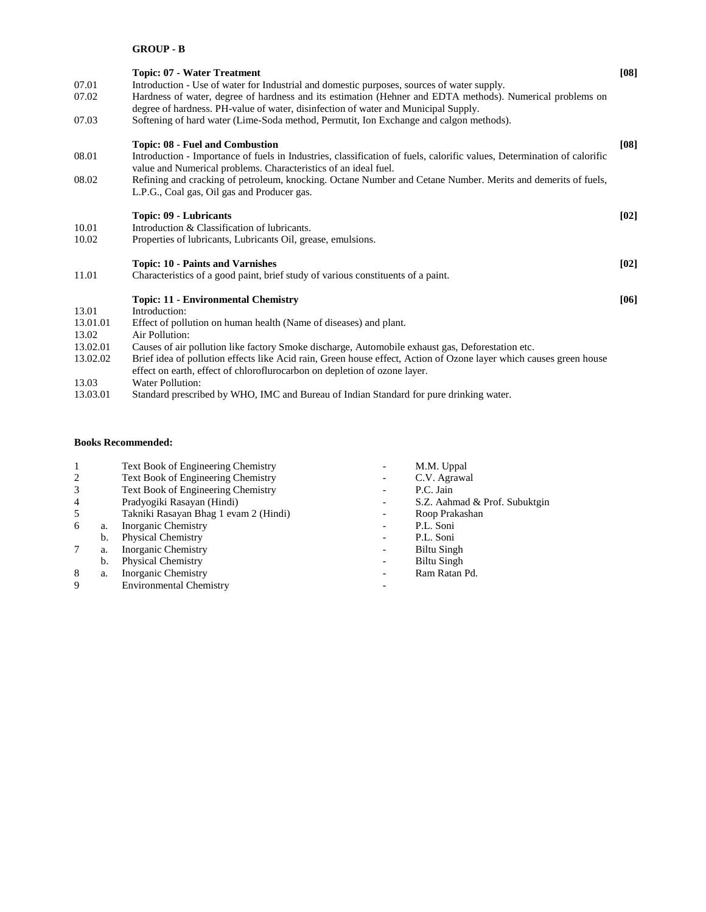### **GROUP - B**

| 07.01<br>07.02<br>07.03                                                 | <b>Topic: 07 - Water Treatment</b><br>Introduction - Use of water for Industrial and domestic purposes, sources of water supply.<br>Hardness of water, degree of hardness and its estimation (Hehner and EDTA methods). Numerical problems on<br>degree of hardness. PH-value of water, disinfection of water and Municipal Supply.<br>Softening of hard water (Lime-Soda method, Permutit, Ion Exchange and calgon methods).                                                                                                                                           | [08] |
|-------------------------------------------------------------------------|-------------------------------------------------------------------------------------------------------------------------------------------------------------------------------------------------------------------------------------------------------------------------------------------------------------------------------------------------------------------------------------------------------------------------------------------------------------------------------------------------------------------------------------------------------------------------|------|
| 08.01<br>08.02                                                          | Topic: 08 - Fuel and Combustion<br>Introduction - Importance of fuels in Industries, classification of fuels, calorific values, Determination of calorific<br>value and Numerical problems. Characteristics of an ideal fuel.<br>Refining and cracking of petroleum, knocking. Octane Number and Cetane Number. Merits and demerits of fuels,<br>L.P.G., Coal gas, Oil gas and Producer gas.                                                                                                                                                                            | [08] |
| 10.01<br>10.02                                                          | Topic: 09 - Lubricants<br>Introduction & Classification of lubricants.<br>Properties of lubricants, Lubricants Oil, grease, emulsions.                                                                                                                                                                                                                                                                                                                                                                                                                                  | [02] |
| 11.01                                                                   | <b>Topic: 10 - Paints and Varnishes</b><br>Characteristics of a good paint, brief study of various constituents of a paint.                                                                                                                                                                                                                                                                                                                                                                                                                                             | [02] |
| 13.01<br>13.01.01<br>13.02<br>13.02.01<br>13.02.02<br>13.03<br>13.03.01 | <b>Topic: 11 - Environmental Chemistry</b><br>Introduction:<br>Effect of pollution on human health (Name of diseases) and plant.<br>Air Pollution:<br>Causes of air pollution like factory Smoke discharge, Automobile exhaust gas, Deforestation etc.<br>Brief idea of pollution effects like Acid rain, Green house effect, Action of Ozone layer which causes green house<br>effect on earth, effect of chloroflurocarbon on depletion of ozone layer.<br>Water Pollution:<br>Standard prescribed by WHO, IMC and Bureau of Indian Standard for pure drinking water. | [06] |

### **Books Recommended:**

| -1             |    | <b>Text Book of Engineering Chemistry</b> | M.M. Uppal                    |
|----------------|----|-------------------------------------------|-------------------------------|
| 2              |    | <b>Text Book of Engineering Chemistry</b> | C.V. Agrawal                  |
| 3              |    | Text Book of Engineering Chemistry        | P.C. Jain                     |
| $\overline{4}$ |    | Pradyogiki Rasayan (Hindi)                | S.Z. Aahmad & Prof. Subuktgin |
| 5              |    | Takniki Rasayan Bhag 1 evam 2 (Hindi)     | Roop Prakashan                |
| 6              | a. | Inorganic Chemistry                       | P.L. Soni                     |
|                | b. | <b>Physical Chemistry</b>                 | P.L. Soni                     |
| 7              | a. | Inorganic Chemistry                       | Biltu Singh                   |
|                | b. | <b>Physical Chemistry</b>                 | Biltu Singh                   |
| 8              | a. | Inorganic Chemistry                       | Ram Ratan Pd.                 |
| 9              |    | <b>Environmental Chemistry</b>            |                               |
|                |    |                                           |                               |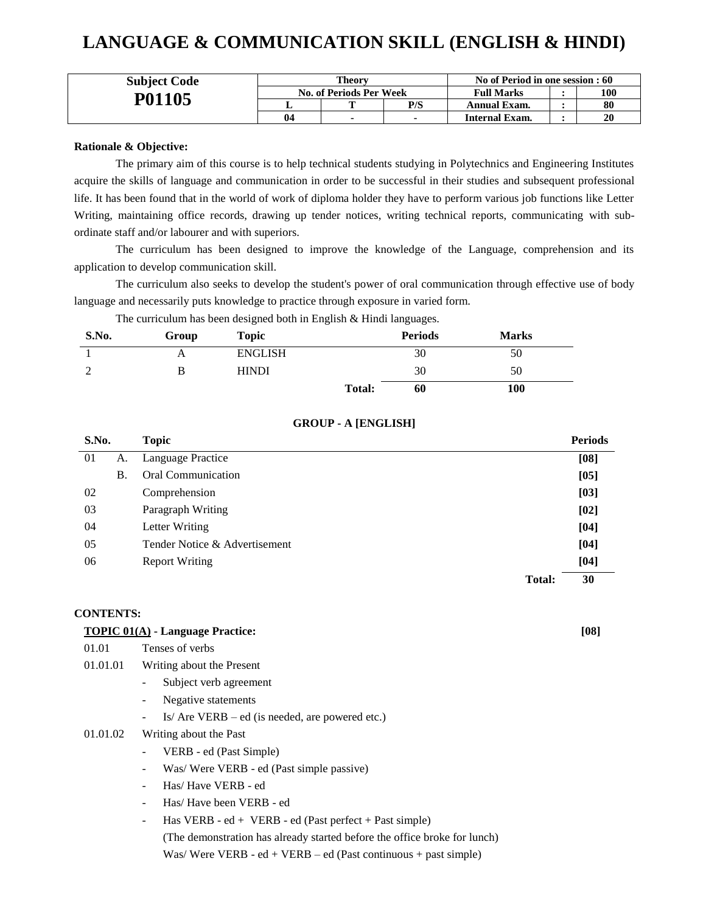# **LANGUAGE & COMMUNICATION SKILL (ENGLISH & HINDI)**

| <b>Subject Code</b> | Theory                         |  |     | No of Period in one session : 60 |  |     |
|---------------------|--------------------------------|--|-----|----------------------------------|--|-----|
|                     | <b>No. of Periods Per Week</b> |  |     | <b>Full Marks</b>                |  | 100 |
| P01105              |                                |  | P/S | Annual Exam.                     |  | 80  |
|                     | 04                             |  |     | Internal Exam.                   |  | 20  |

### **Rationale & Objective:**

The primary aim of this course is to help technical students studying in Polytechnics and Engineering Institutes acquire the skills of language and communication in order to be successful in their studies and subsequent professional life. It has been found that in the world of work of diploma holder they have to perform various job functions like Letter Writing, maintaining office records, drawing up tender notices, writing technical reports, communicating with subordinate staff and/or labourer and with superiors.

The curriculum has been designed to improve the knowledge of the Language, comprehension and its application to develop communication skill.

The curriculum also seeks to develop the student's power of oral communication through effective use of body language and necessarily puts knowledge to practice through exposure in varied form.

The curriculum has been designed both in English & Hindi languages.

| S.No. | Group | <b>Topic</b>   |               | <b>Periods</b> | <b>Marks</b> |
|-------|-------|----------------|---------------|----------------|--------------|
|       | Α     | <b>ENGLISH</b> |               | 30             | 50           |
|       | B     | <b>HINDI</b>   |               | 30             | 50           |
|       |       |                | <b>Total:</b> | 60             | 100          |

### **GROUP - A [ENGLISH]**

| S.No. |           | <b>Topic</b>                  |               | <b>Periods</b> |
|-------|-----------|-------------------------------|---------------|----------------|
| 01    | А.        | Language Practice             |               | [08]           |
|       | <b>B.</b> | <b>Oral Communication</b>     |               | [05]           |
| 02    |           | Comprehension                 |               | [03]           |
| 03    |           | Paragraph Writing             |               | [02]           |
| 04    |           | Letter Writing                |               | [04]           |
| 05    |           | Tender Notice & Advertisement |               | [04]           |
| 06    |           | <b>Report Writing</b>         |               | [04]           |
|       |           |                               | <b>Total:</b> | 30             |

#### **CONTENTS:**

#### **TOPIC 01(A) - Language Practice: [08]**

| 01.01 | Tenses of verbs |  |
|-------|-----------------|--|
|       |                 |  |

- 01.01.01 Writing about the Present
	- Subject verb agreement
	- Negative statements
	- Is/ Are VERB ed (is needed, are powered etc.)

### 01.01.02 Writing about the Past

- VERB ed (Past Simple)
- Was/ Were VERB ed (Past simple passive)
- Has/ Have VERB ed
- Has/ Have been VERB ed
- $Has VERB ed + VERB ed (Fast perfect + Past simple)$

(The demonstration has already started before the office broke for lunch) Was/Were VERB -  $ed + VERB - ed$  (Past continuous + past simple)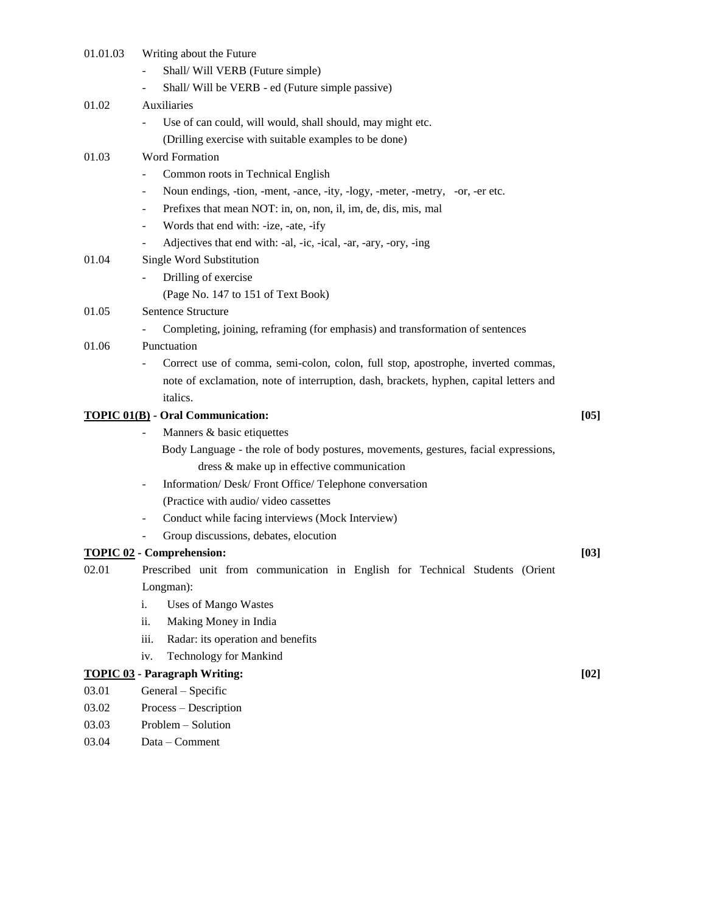| 01.01.03 | Writing about the Future                                                               |      |
|----------|----------------------------------------------------------------------------------------|------|
|          | Shall/Will VERB (Future simple)                                                        |      |
|          | Shall/Will be VERB - ed (Future simple passive)<br>-                                   |      |
| 01.02    | Auxiliaries                                                                            |      |
|          | Use of can could, will would, shall should, may might etc.                             |      |
|          | (Drilling exercise with suitable examples to be done)                                  |      |
| 01.03    | <b>Word Formation</b>                                                                  |      |
|          | Common roots in Technical English<br>$\overline{a}$                                    |      |
|          | Noun endings, -tion, -ment, -ance, -ity, -logy, -meter, -metry, -or, -er etc.<br>÷     |      |
|          | Prefixes that mean NOT: in, on, non, il, im, de, dis, mis, mal<br>$\overline{a}$       |      |
|          | Words that end with: -ize, -ate, -ify<br>-                                             |      |
|          | Adjectives that end with: -al, -ic, -ical, -ar, -ary, -ory, -ing<br>-                  |      |
| 01.04    | Single Word Substitution                                                               |      |
|          | Drilling of exercise                                                                   |      |
|          | (Page No. 147 to 151 of Text Book)                                                     |      |
| 01.05    | Sentence Structure                                                                     |      |
|          | Completing, joining, reframing (for emphasis) and transformation of sentences          |      |
| 01.06    | Punctuation                                                                            |      |
|          | Correct use of comma, semi-colon, colon, full stop, apostrophe, inverted commas,       |      |
|          | note of exclamation, note of interruption, dash, brackets, hyphen, capital letters and |      |
|          | italics.                                                                               |      |
|          | <b>TOPIC 01(B)</b> - Oral Communication:                                               | [05] |
|          | Manners & basic etiquettes                                                             |      |
|          | Body Language - the role of body postures, movements, gestures, facial expressions,    |      |
|          | dress & make up in effective communication                                             |      |
|          | Information/ Desk/ Front Office/ Telephone conversation<br>Ξ.                          |      |
|          | (Practice with audio/video cassettes                                                   |      |
|          | Conduct while facing interviews (Mock Interview)<br>۰                                  |      |
|          | Group discussions, debates, elocution                                                  |      |
|          | <b>TOPIC 02 - Comprehension:</b>                                                       | [03] |
| 02.01    | Prescribed unit from communication in English for Technical Students (Orient           |      |
|          | Longman):                                                                              |      |
|          | <b>Uses of Mango Wastes</b><br>i.                                                      |      |
|          | Making Money in India<br>ii.                                                           |      |
|          | Radar: its operation and benefits<br>iii.                                              |      |
|          | Technology for Mankind<br>iv.                                                          |      |
|          | <b>TOPIC 03 - Paragraph Writing:</b>                                                   | [02] |
| 03.01    | General - Specific                                                                     |      |
| 03.02    | Process - Description                                                                  |      |
| 03.03    | Problem - Solution                                                                     |      |
| 03.04    | Data - Comment                                                                         |      |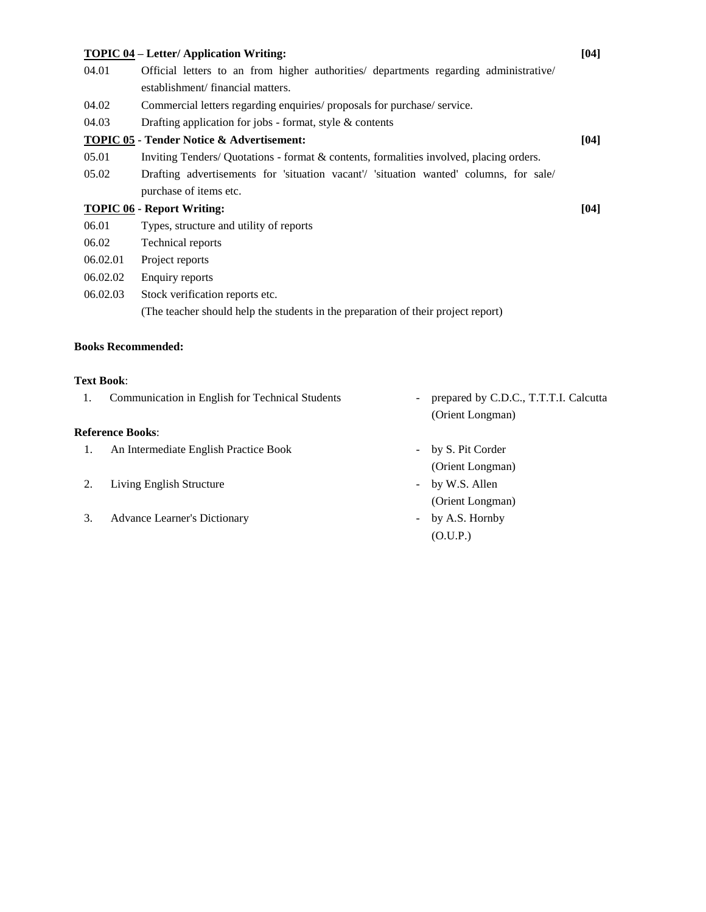|          | <b>TOPIC 04 – Letter/ Application Writing:</b>                                         | [04] |
|----------|----------------------------------------------------------------------------------------|------|
| 04.01    | Official letters to an from higher authorities/ departments regarding administrative/  |      |
|          | establishment/financial matters.                                                       |      |
| 04.02    | Commercial letters regarding enquiries/ proposals for purchase/ service.               |      |
| 04.03    | Drafting application for jobs - format, style $\&$ contents                            |      |
|          | <b>TOPIC 05 - Tender Notice &amp; Advertisement:</b>                                   | [04] |
| 05.01    | Inviting Tenders/Quotations - format & contents, formalities involved, placing orders. |      |
| 05.02    | Drafting advertisements for 'situation vacant'/ 'situation wanted' columns, for sale/  |      |
|          | purchase of items etc.                                                                 |      |
|          | <b>TOPIC 06 - Report Writing:</b>                                                      | [04] |
| 06.01    | Types, structure and utility of reports                                                |      |
| 06.02    | Technical reports                                                                      |      |
| 06.02.01 | Project reports                                                                        |      |
| 06.02.02 | Enquiry reports                                                                        |      |
| 06.02.03 | Stock verification reports etc.                                                        |      |
|          | (The teacher should help the students in the preparation of their project report)      |      |
|          |                                                                                        |      |

# **Books Recommended:**

### **Text Book**:

| 1. | Communication in English for Technical Students | prepared by C.D.C., T.T.T.I. Calcutta |
|----|-------------------------------------------------|---------------------------------------|
|    |                                                 | (Orient Longman)                      |
|    | Reference Books:                                |                                       |
|    | An Intermediate English Practice Book           | - by S. Pit Corder                    |
|    |                                                 | (Orient Longman)                      |
|    | Living English Structure                        | - by W.S. Allen                       |
|    |                                                 | (Orient Longman)                      |
| 3. | <b>Advance Learner's Dictionary</b>             | by A.S. Hornby                        |
|    |                                                 | (O.U.P.)                              |
|    |                                                 |                                       |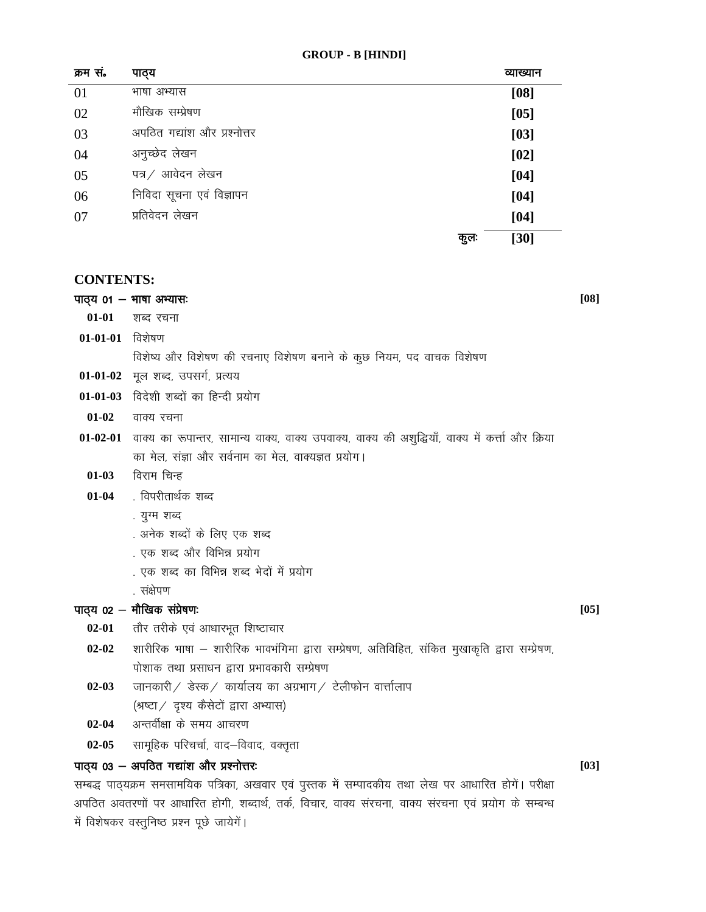| क्रम सं. | पाठ्य                        |      | व्याख्यान |
|----------|------------------------------|------|-----------|
| 01       | भाषा अभ्यास                  |      | [08]      |
| 02       | मौखिक सम्प्रेषण              |      | $[05]$    |
| 03       | अपठित गद्यांश और प्रश्नोत्तर |      | $[03]$    |
| 04       | अनुच्छेद लेखन                |      | $[02]$    |
| 05       | पत्र / आवेदन लेखन            |      | $[04]$    |
| 06       | निविदा सूचना एवं विज्ञापन    |      | $[04]$    |
| 07       | प्रतिवेदन लेखन               |      | $[04]$    |
|          |                              | कुल: | [30]      |

### **CONTENTS:**

पाठ्य  $01 - 4$ गाषा अभ्यासः 01-01 शब्द रचना

 $01-01-01$  विशेषण

विशेष्य और विशेषण की रचनाए विशेषण बनाने के कुछ नियम, पद वाचक विशेषण

- 01-01-02 मूल शब्द, उपसर्ग, प्रत्यय
- 01-01-03 विदेशी शब्दों का हिन्दी प्रयोग
- $01-02$ वाक्य रचना
- 01-02-01 वाक्य का रूपान्तर, सामान्य वाक्य, वाक्य उपवाक्य, वाक्य की अशुद्धियाँ, वाक्य में कर्त्ता और क्रिया का मेल, संज्ञा और सर्वनाम का मेल, वाक्यज्ञत प्रयोग।
	- विराम चिन्ह  $01-03$
	- . विपरीतार्थक शब्द  $01 - 04$ 
		- . युग्म शब्द
		- . अनेक शब्दों के लिए एक शब्द
		- . एक शब्द और विभिन्न प्रयोग
		- . एक शब्द का विभिन्न शब्द भेदों में प्रयोग
		- . संक्षेपण

### पाठ्य 02 – मौखिक संप्रेषणः

- $02 01$ तौर तरीके एवं आधारभूत शिष्टाचार
- शारीरिक भाषा शारीरिक भावभंगिमा द्वारा सम्प्रेषण, अतिविहित, संकित मुखाकृति द्वारा सम्प्रेषण,  $02 - 02$ पोशाक तथा प्रसाधन द्वारा प्रभावकारी सम्प्रेषण
- जानकारी / डेस्क / कार्यालय का अग्रभाग / टेलीफोन वार्त्तालाप  $02 - 03$ (श्रष्टा / दृश्य कैसेटों द्वारा अभ्यास)
- अन्तर्वीक्षा के समय आचरण  $02 - 04$
- $02 05$ सामूहिक परिचर्चा, वाद–विवाद, वक्तृता

### पाठ्य 03 - अपठित गद्यांश और प्रश्नोत्तरः

सम्बद्ध पाठ्यक्रम समसामयिक पत्रिका, अखवार एवं पुस्तक में सम्पादकीय तथा लेख पर आधारित होगें। परीक्षा अपठित अवतरणों पर आधारित होगी, शब्दार्थ, तर्क, विचार, वाक्य सरचना, वाक्य सरचना एवं प्रयोग के सम्बन्ध में विशेषकर वस्तुनिष्ठ प्रश्न पूछे जायेगें।

 $[08]$ 

 $[05]$ 

 $[03]$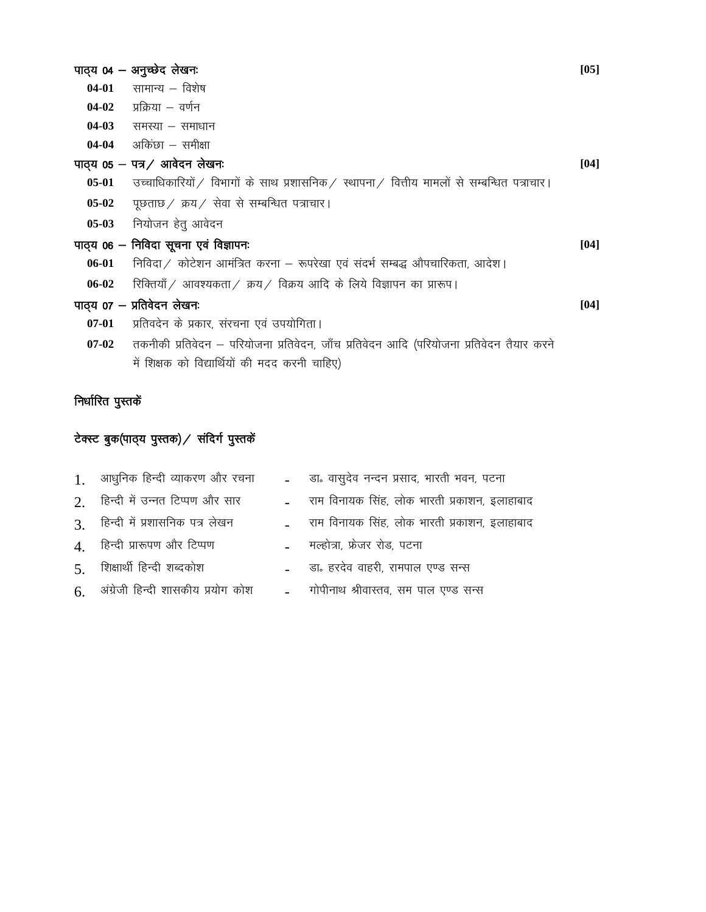|           | पाठ्य 04 - अनुच्छेद लेखनः                                                                  | [05] |
|-----------|--------------------------------------------------------------------------------------------|------|
| 04-01     | सामान्य – विशेष                                                                            |      |
|           | $04-02$ प्रक्रिया – वर्णन                                                                  |      |
| $04-03$   | समस्या – समाधान                                                                            |      |
|           | $04-04$ अकिछा – समीक्षा                                                                    |      |
|           | पाठ्य 05 - पत्र / आवेदन लेखनः                                                              | [04] |
| $05-01$   | उच्चाधिकारियों / विभागों के साथ प्रशासनिक / स्थापना / वित्तीय मामलों से सम्बन्धित पत्राचार |      |
| $05-02$   | पूछताछ / क्रय / सेवा से सम्बन्धित पत्राचार।                                                |      |
| $05-03$   | नियोजन हेतु आवेदन                                                                          |      |
|           | पाठ्य 06 – निविदा सूचना एवं विज्ञापनः                                                      | [04] |
| $06 - 01$ | निविदा / कोटेशन आमंत्रित करना – रूपरेखा एवं संदर्भ सम्बद्ध औपचारिकता, आदेश।                |      |
| $06 - 02$ | रिक्तियाँ / आवश्यकता / क्रय / विक्रय आदि के लिये विज्ञापन का प्रारूप।                      |      |
|           | पाठ्य 07 — प्रतिवेदन लेखनः                                                                 | [04] |
| $07 - 01$ | प्रतिवदेन के प्रकार, संरचना एवं उपयोगिता।                                                  |      |
| $07-02$   | तकनीकी प्रतिवेदन — परियोजना प्रतिवेदन, जॉंच प्रतिवेदन आदि (परियोजना प्रतिवेदन तैयार करने   |      |
|           | में शिक्षक को विद्यार्थियों की मदद करनी चाहिए)                                             |      |
|           |                                                                                            |      |

# निर्धारित पुस्त<mark>कें</mark>

# टेक्स्ट बुक(पाठ्य पुस्तक) / संदिर्ग पुस्तकें

| 1. आधुनिक हिन्दी व्याकरण और रचना        | _ बा. वासुदेव नन्दन प्रसाद, भारती भवन, पटना    |
|-----------------------------------------|------------------------------------------------|
| 2. हिन्दी में उन्नत टिप्पण और सार       | _ राम विनायक सिंह, लोक भारती प्रकाशन, इलाहाबाद |
| 3. हिन्दी में प्रशासनिक पत्र लेखन       | - राम विनायक सिंह, लोक भारती प्रकाशन, इलाहाबाद |
| 4. हिन्दी प्रारूपण और टिप्पण            | - मल्होत्रा, फ्रेजर रोड, पटना                  |
| $\mathcal{F}$ शिक्षार्थी हिन्दी शब्दकोश | _ बा. हरदेव वाहरी, रामपाल एण्ड सन्स            |
| 6. अंग्रेजी हिन्दी शासकीय प्रयोग कोश    | - गोपीनाथ श्रीवास्तव, सम पाल एण्ड सन्स         |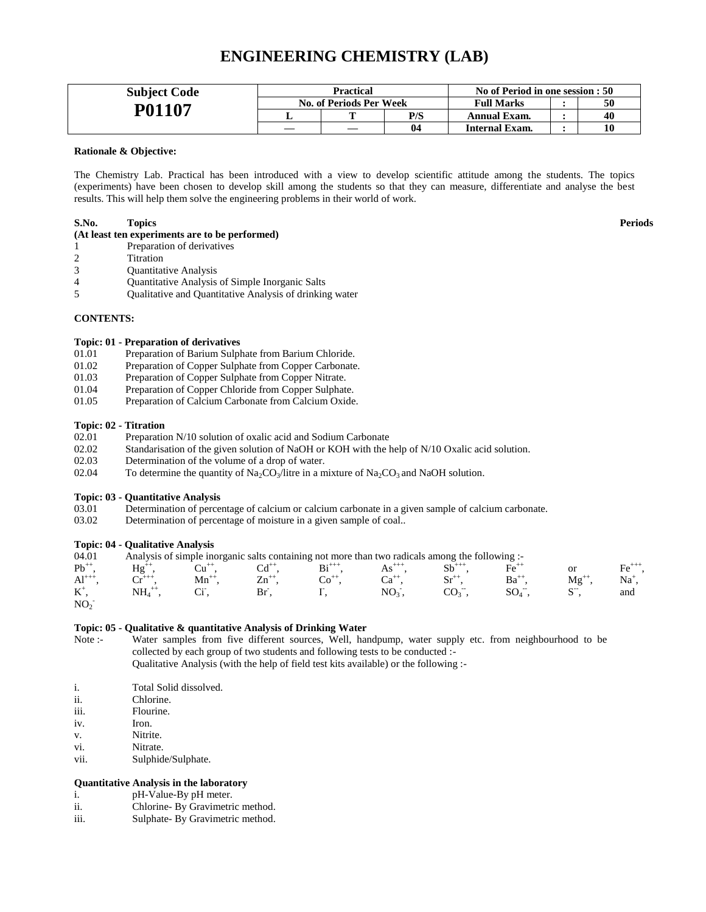### **ENGINEERING CHEMISTRY (LAB)**

| <b>Subject Code</b> | Practical |                                |                   | No of Period in one session : 50 |    |    |
|---------------------|-----------|--------------------------------|-------------------|----------------------------------|----|----|
| P01107              |           | <b>No. of Periods Per Week</b> | <b>Full Marks</b> |                                  | 50 |    |
|                     |           |                                | P/S               | <b>Annual Exam.</b>              |    | 40 |
|                     |           |                                | 04                | Internal Exam.                   |    |    |

#### **Rationale & Objective:**

The Chemistry Lab. Practical has been introduced with a view to develop scientific attitude among the students. The topics (experiments) have been chosen to develop skill among the students so that they can measure, differentiate and analyse the best results. This will help them solve the engineering problems in their world of work.

#### **S.No. Topics Periods**

### **(At least ten experiments are to be performed)**

- 1 Preparation of derivatives
- 2 Titration
- 3 Quantitative Analysis
- 4 Quantitative Analysis of Simple Inorganic Salts
- 5 Qualitative and Quantitative Analysis of drinking water

#### **CONTENTS:**

#### **Topic: 01 - Preparation of derivatives**

- 01.01 Preparation of Barium Sulphate from Barium Chloride.
- 01.02 Preparation of Copper Sulphate from Copper Carbonate.
- 01.03 Preparation of Copper Sulphate from Copper Nitrate.
- 01.04 Preparation of Copper Chloride from Copper Sulphate.
- 01.05 Preparation of Calcium Carbonate from Calcium Oxide.

#### **Topic: 02 - Titration**

- 02.01 Preparation N/10 solution of oxalic acid and Sodium Carbonate
- 02.02 Standarisation of the given solution of NaOH or KOH with the help of N/10 Oxalic acid solution.
- 02.03 Determination of the volume of a drop of water.
- 02.04 To determine the quantity of Na<sub>2</sub>CO<sub>3</sub>/litre in a mixture of Na<sub>2</sub>CO<sub>3</sub> and NaOH solution.

#### **Topic: 03 - Quantitative Analysis**

- 03.01 Determination of percentage of calcium or calcium carbonate in a given sample of calcium carbonate.
- 03.02 Determination of percentage of moisture in a given sample of coal..

#### **Topic: 04 - Qualitative Analysis**

| 04.01           |                      |           |           |           | Analysis of simple inorganic salts containing not more than two radicals among the following :- |                |                   |                 |
|-----------------|----------------------|-----------|-----------|-----------|-------------------------------------------------------------------------------------------------|----------------|-------------------|-----------------|
| $Pb^{++}$       | $Hg^{+}$             |           |           | $Bi^{++}$ | $As^{+++}$                                                                                      | $\rm{Fe}^{+1}$ | or                | Fe <sup>+</sup> |
| $Al^{++}$       | $\sim^{+++}$         | $Mn^{++}$ | $Zn^{++}$ |           |                                                                                                 | $Ba^{++}$      | $Mg^{++}$         | Na†             |
| $K^+$           | $\mathrm{NH_4}^{++}$ |           |           |           | NO <sub>2</sub>                                                                                 |                | $\mathbb{C}^{-1}$ | and             |
| NO <sub>2</sub> |                      |           |           |           |                                                                                                 |                |                   |                 |

#### **Topic: 05 - Qualitative & quantitative Analysis of Drinking Water**

Note :- Water samples from five different sources, Well, handpump, water supply etc. from neighbourhood to be collected by each group of two students and following tests to be conducted :- Qualitative Analysis (with the help of field test kits available) or the following :-

- i. Total Solid dissolved.
- ii. Chlorine.
- iii. Flourine.
- iv. Iron.
- v. Nitrite.
- vi. Nitrate.
- vii. Sulphide/Sulphate.

### **Quantitative Analysis in the laboratory**

- i. pH-Value-By pH meter.
- ii. Chlorine- By Gravimetric method.
- iii. Sulphate- By Gravimetric method.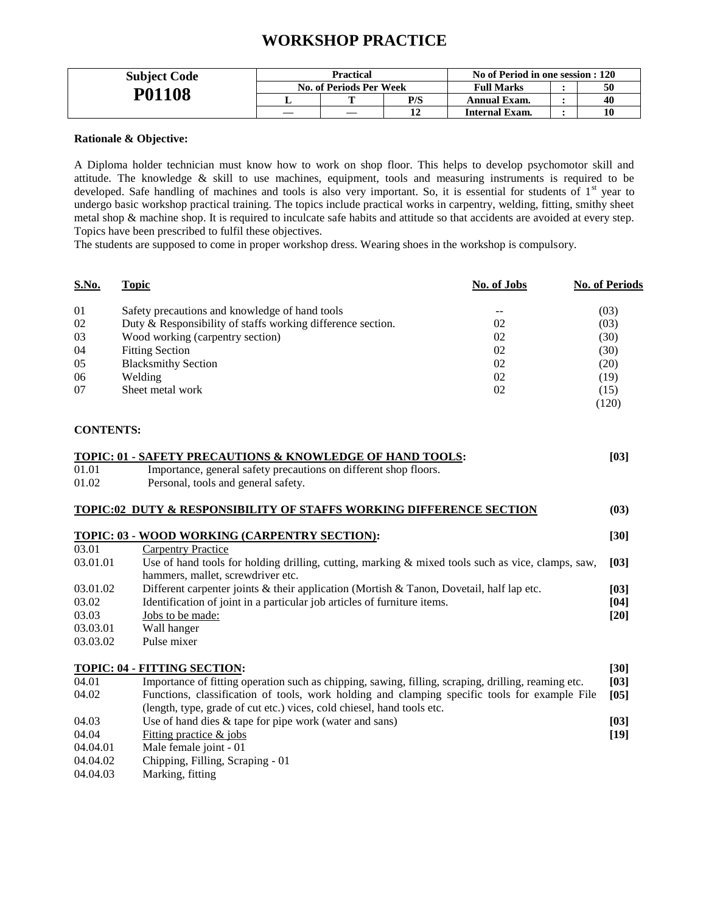### **WORKSHOP PRACTICE**

| <b>Subject Code</b> | Practical               |  |     | No of Period in one session : 120 |  |    |
|---------------------|-------------------------|--|-----|-----------------------------------|--|----|
|                     | No. of Periods Per Week |  |     | <b>Full Marks</b>                 |  | 50 |
| <b>P01108</b>       |                         |  | P/S | Annual Exam.                      |  | 40 |
|                     |                         |  |     | Internal Exam.                    |  | 10 |

### **Rationale & Objective:**

A Diploma holder technician must know how to work on shop floor. This helps to develop psychomotor skill and attitude. The knowledge & skill to use machines, equipment, tools and measuring instruments is required to be developed. Safe handling of machines and tools is also very important. So, it is essential for students of 1<sup>st</sup> year to undergo basic workshop practical training. The topics include practical works in carpentry, welding, fitting, smithy sheet metal shop & machine shop. It is required to inculcate safe habits and attitude so that accidents are avoided at every step. Topics have been prescribed to fulfil these objectives.

The students are supposed to come in proper workshop dress. Wearing shoes in the workshop is compulsory.

| <b>S.No.</b>     | <b>Topic</b>                                                                                         | No. of Jobs | <b>No. of Periods</b> |
|------------------|------------------------------------------------------------------------------------------------------|-------------|-----------------------|
| 01               | Safety precautions and knowledge of hand tools                                                       |             | (03)                  |
| 02               | Duty & Responsibility of staffs working difference section.                                          | 02          | (03)                  |
| 03               | Wood working (carpentry section)                                                                     | 02          | (30)                  |
| 04               | <b>Fitting Section</b>                                                                               | 02          | (30)                  |
| 05               | <b>Blacksmithy Section</b>                                                                           | 02          | (20)                  |
| 06               | Welding                                                                                              | 02          | (19)                  |
| 07               | Sheet metal work                                                                                     | 02          | (15)                  |
|                  |                                                                                                      |             | (120)                 |
| <b>CONTENTS:</b> |                                                                                                      |             |                       |
|                  | TOPIC: 01 - SAFETY PRECAUTIONS & KNOWLEDGE OF HAND TOOLS:                                            |             | $[03]$                |
| 01.01            | Importance, general safety precautions on different shop floors.                                     |             |                       |
| 01.02            | Personal, tools and general safety.                                                                  |             |                       |
|                  | TOPIC:02 DUTY & RESPONSIBILITY OF STAFFS WORKING DIFFERENCE SECTION                                  |             | (03)                  |
|                  | TOPIC: 03 - WOOD WORKING (CARPENTRY SECTION):                                                        |             | $[30]$                |
| 03.01            | <b>Carpentry Practice</b>                                                                            |             |                       |
| 03.01.01         | Use of hand tools for holding drilling, cutting, marking $\&$ mixed tools such as vice, clamps, saw, |             | [03]                  |
|                  | hammers, mallet, screwdriver etc.                                                                    |             |                       |
| 03.01.02         | Different carpenter joints & their application (Mortish & Tanon, Dovetail, half lap etc.             |             | [03]                  |
| 03.02            | Identification of joint in a particular job articles of furniture items.                             |             | [04]                  |
| 03.03            | Jobs to be made:                                                                                     |             | $[20]$                |
| 03.03.01         | Wall hanger                                                                                          |             |                       |
| 03.03.02         | Pulse mixer                                                                                          |             |                       |
|                  | <b>TOPIC: 04 - FITTING SECTION:</b>                                                                  |             | [30]                  |
| 04.01            | Importance of fitting operation such as chipping, sawing, filling, scraping, drilling, reaming etc.  |             | $[03]$                |
| 04.02            | Functions, classification of tools, work holding and clamping specific tools for example File        |             | [05]                  |
|                  | (length, type, grade of cut etc.) vices, cold chiesel, hand tools etc.                               |             |                       |
| 04.03            | Use of hand dies $&$ tape for pipe work (water and sans)                                             |             | $[03]$                |
| 04.04            | Fitting practice & jobs                                                                              |             | $[19]$                |
| 04.04.01         | Male female joint - 01                                                                               |             |                       |
| 04.04.02         | Chipping, Filling, Scraping - 01                                                                     |             |                       |
| 04.04.03         | Marking, fitting                                                                                     |             |                       |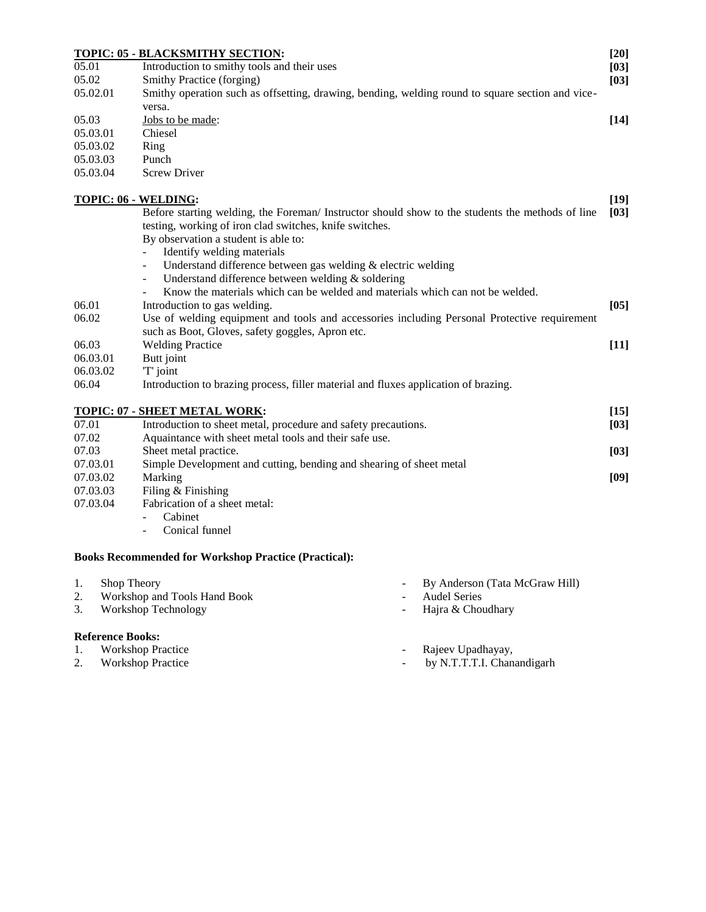|          | TOPIC: 05 - BLACKSMITHY SECTION:                                                                 | $[20]$ |
|----------|--------------------------------------------------------------------------------------------------|--------|
| 05.01    | Introduction to smithy tools and their uses                                                      | [03]   |
| 05.02    | Smithy Practice (forging)                                                                        | [03]   |
| 05.02.01 | Smithy operation such as offsetting, drawing, bending, welding round to square section and vice- |        |
|          | versa.                                                                                           |        |
| 05.03    | Jobs to be made:                                                                                 | $[14]$ |
| 05.03.01 | Chiesel                                                                                          |        |
| 05.03.02 | Ring                                                                                             |        |
| 05.03.03 | Punch                                                                                            |        |
| 05.03.04 | <b>Screw Driver</b>                                                                              |        |
|          | <b>TOPIC: 06 - WELDING:</b>                                                                      | $[19]$ |
|          | Before starting welding, the Foreman/ Instructor should show to the students the methods of line | [03]   |
|          | testing, working of iron clad switches, knife switches.                                          |        |
|          | By observation a student is able to:                                                             |        |
|          | Identify welding materials                                                                       |        |
|          | Understand difference between gas welding $&$ electric welding<br>$\overline{\phantom{a}}$       |        |
|          | Understand difference between welding & soldering<br>$\overline{\phantom{0}}$                    |        |
|          | Know the materials which can be welded and materials which can not be welded.                    |        |
| 06.01    | Introduction to gas welding.                                                                     | $[05]$ |
| 06.02    | Use of welding equipment and tools and accessories including Personal Protective requirement     |        |
|          | such as Boot, Gloves, safety goggles, Apron etc.                                                 |        |
| 06.03    | <b>Welding Practice</b>                                                                          | $[11]$ |
| 06.03.01 | Butt joint                                                                                       |        |
| 06.03.02 | 'T' joint                                                                                        |        |
| 06.04    | Introduction to brazing process, filler material and fluxes application of brazing.              |        |
|          | TOPIC: 07 - SHEET METAL WORK:                                                                    | $[15]$ |
| 07.01    | Introduction to sheet metal, procedure and safety precautions.                                   | [03]   |
| 07.02    | Aquaintance with sheet metal tools and their safe use.                                           |        |
| 07.03    | Sheet metal practice.                                                                            | [03]   |
| 07.03.01 | Simple Development and cutting, bending and shearing of sheet metal                              |        |
| 07.03.02 | Marking                                                                                          | [09]   |
| 07.03.03 | Filing & Finishing                                                                               |        |

- 07.03.04 Fabrication of a sheet metal:
	- Cabinet
	- Conical funnel

### **Books Recommended for Workshop Practice (Practical):**

| 1. | Shop Theory                  | - By Anderson (Tata McGraw Hill) |
|----|------------------------------|----------------------------------|
|    | Workshop and Tools Hand Book | - Audel Series                   |

3. Workshop Technology **- Hajra & Choudhary** 

- **Reference Books:**<br>1. Workshop Practice
- 
- 1. Workshop Practice  **Rajeev Upadhayay**,
- 2. Workshop Practice  **by N.T.T.T.I. Chanandigarh**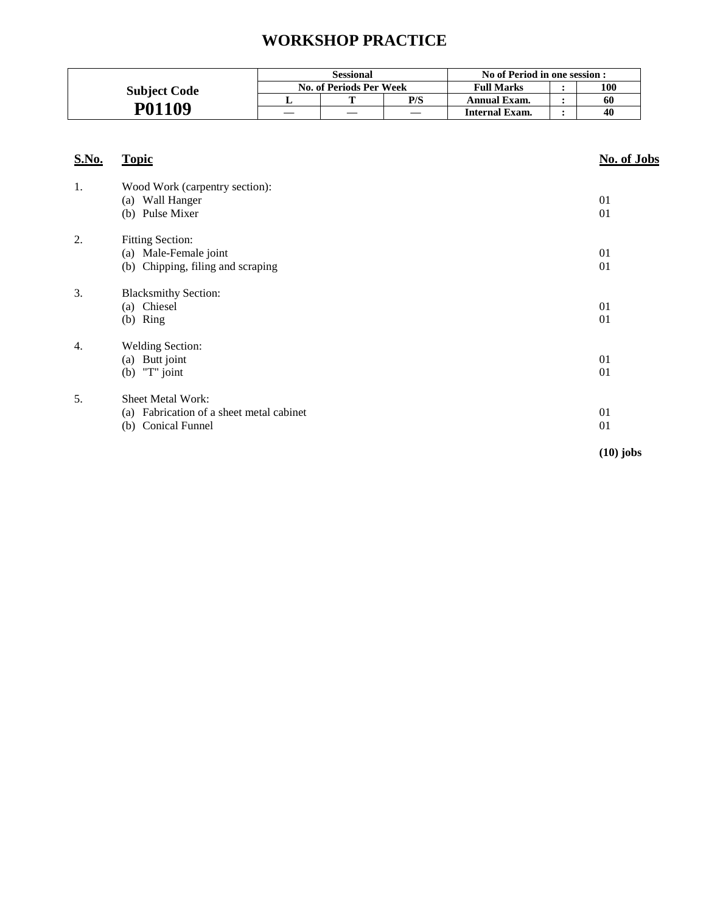## **WORKSHOP PRACTICE**

|                     | <b>Sessional</b>        |  | No of Period in one session : |                     |  |     |
|---------------------|-------------------------|--|-------------------------------|---------------------|--|-----|
| <b>Subject Code</b> | No. of Periods Per Week |  |                               | <b>Full Marks</b>   |  | 100 |
|                     |                         |  | P/S                           | <b>Annual Exam.</b> |  | 60  |
| P01109              |                         |  |                               | Internal Exam.      |  | 40  |

| <b>S.No.</b>     | <b>Topic</b>                                                                               | No. of Jobs |
|------------------|--------------------------------------------------------------------------------------------|-------------|
| 1.               | Wood Work (carpentry section):<br>(a) Wall Hanger<br>(b) Pulse Mixer                       | 01<br>01    |
| 2.               | <b>Fitting Section:</b><br>(a) Male-Female joint<br>(b) Chipping, filing and scraping      | 01<br>01    |
| 3.               | <b>Blacksmithy Section:</b><br>(a) Chiesel<br>$(b)$ Ring                                   | 01<br>01    |
| $\overline{4}$ . | <b>Welding Section:</b><br>(a) Butt joint<br>(b) $T^{\prime\prime}$ joint                  | 01<br>01    |
| 5.               | <b>Sheet Metal Work:</b><br>(a) Fabrication of a sheet metal cabinet<br>(b) Conical Funnel | 01<br>01    |
|                  |                                                                                            | $(10)$ jobs |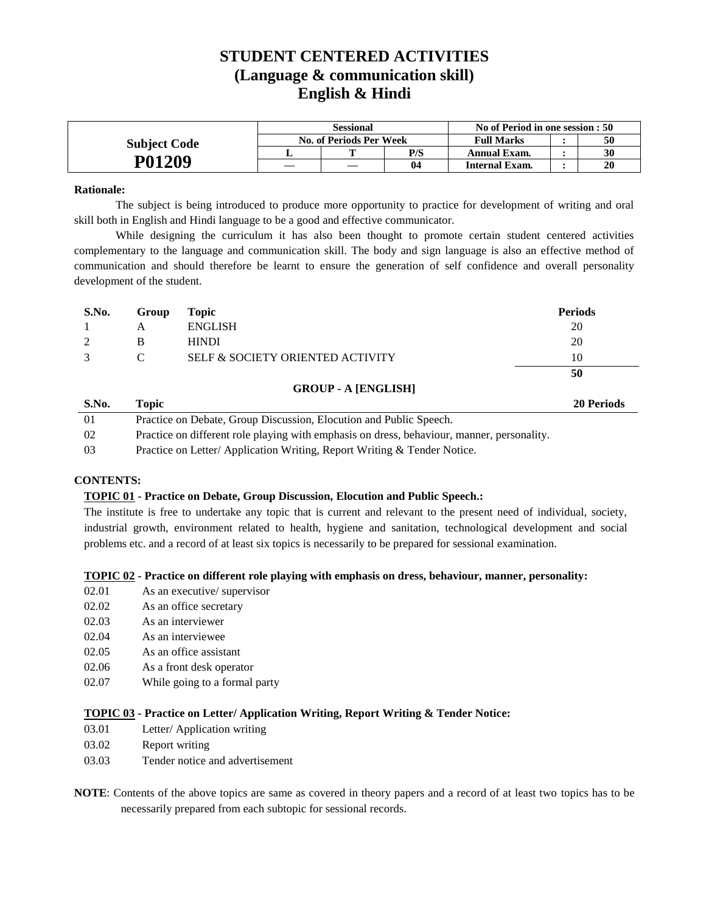### **STUDENT CENTERED ACTIVITIES (Language & communication skill) English & Hindi**

|                     | Sessional |                         |                | No of Period in one session : 50 |    |
|---------------------|-----------|-------------------------|----------------|----------------------------------|----|
| <b>Subject Code</b> |           | No. of Periods Per Week |                | <b>Full Marks</b>                | 50 |
|                     |           |                         | P/S            | Annual Exam.                     | 30 |
| P01209              |           |                         | 0 <sub>4</sub> | Internal Exam.                   | 20 |

### **Rationale:**

The subject is being introduced to produce more opportunity to practice for development of writing and oral skill both in English and Hindi language to be a good and effective communicator.

While designing the curriculum it has also been thought to promote certain student centered activities complementary to the language and communication skill. The body and sign language is also an effective method of communication and should therefore be learnt to ensure the generation of self confidence and overall personality development of the student.

| S.No.         | Group | Topic                            | <b>Periods</b> |
|---------------|-------|----------------------------------|----------------|
|               | A     | <b>ENGLISH</b>                   | 20             |
|               | В     | <b>HINDI</b>                     | 20             |
| $\mathcal{R}$ | C     | SELF & SOCIETY ORIENTED ACTIVITY | 10             |
|               |       |                                  | 50             |

### **GROUP - A [ENGLISH]**

| S.No. | Topic                                                                                      | <b>20 Periods</b> |
|-------|--------------------------------------------------------------------------------------------|-------------------|
| -01   | Practice on Debate, Group Discussion, Elocution and Public Speech.                         |                   |
| -02   | Practice on different role playing with emphasis on dress, behaviour, manner, personality. |                   |
| -03   | Practice on Letter/Application Writing, Report Writing & Tender Notice.                    |                   |

### **CONTENTS:**

### **TOPIC 01 - Practice on Debate, Group Discussion, Elocution and Public Speech.:**

The institute is free to undertake any topic that is current and relevant to the present need of individual, society, industrial growth, environment related to health, hygiene and sanitation, technological development and social problems etc. and a record of at least six topics is necessarily to be prepared for sessional examination.

### **TOPIC 02 - Practice on different role playing with emphasis on dress, behaviour, manner, personality:**

- 02.01 As an executive/ supervisor
- 02.02 As an office secretary
- 02.03 As an interviewer
- 02.04 As an interviewee
- 02.05 As an office assistant
- 02.06 As a front desk operator
- 02.07 While going to a formal party

### **TOPIC 03 - Practice on Letter/ Application Writing, Report Writing & Tender Notice:**

- 03.01 Letter/ Application writing
- 03.02 Report writing
- 03.03 Tender notice and advertisement
- **NOTE**: Contents of the above topics are same as covered in theory papers and a record of at least two topics has to be necessarily prepared from each subtopic for sessional records.